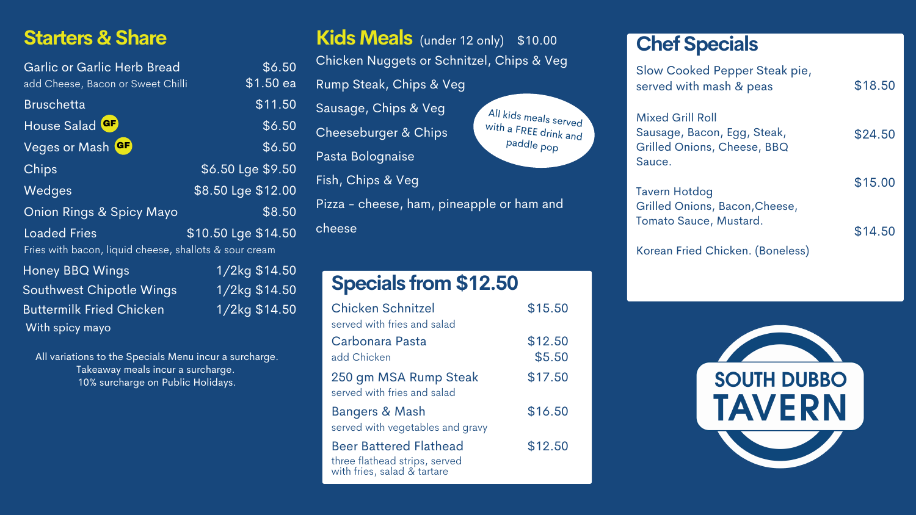## **Starters & Share**

With spicy mayo

| Garlic or Garlic Herb Bread                            | \$6.50              |
|--------------------------------------------------------|---------------------|
| add Cheese, Bacon or Sweet Chilli                      | $$1.50$ ea          |
| <b>Bruschetta</b>                                      | \$11.50             |
| House Salad GF                                         | \$6.50              |
| Veges or Mash GF                                       | \$6.50              |
| Chips                                                  | \$6.50 Lge \$9.50   |
| Wedges                                                 | \$8.50 Lge \$12.00  |
| <b>Onion Rings &amp; Spicy Mayo</b>                    | \$8.50              |
| <b>Loaded Fries</b>                                    | \$10.50 Lge \$14.50 |
| Fries with bacon, liquid cheese, shallots & sour cream |                     |
| <b>Honey BBQ Wings</b>                                 | 1/2kg \$14.50       |
| <b>Southwest Chipotle Wings</b>                        | 1/2kg \$14.50       |
| <b>Buttermilk Fried Chicken</b>                        | 1/2kg \$14.50       |

All variations to the Specials Menu incur a surcharge. Takeaway meals incur a surcharge. 10% surcharge on Public Holidays.

| Kids Meals (under 12 only) \$10.00        |                                     |  |  |
|-------------------------------------------|-------------------------------------|--|--|
| Chicken Nuggets or Schnitzel, Chips & Veg |                                     |  |  |
| Rump Steak, Chips & Veg                   |                                     |  |  |
| Sausage, Chips & Veg                      | All kids meals served               |  |  |
| <b>Cheeseburger &amp; Chips</b>           | with a FREE drink and<br>paddle pop |  |  |
| Pasta Bolognaise                          |                                     |  |  |
| Fish, Chips & Veg                         |                                     |  |  |
| Pizza - cheese, ham, pineapple or ham and |                                     |  |  |
| cheese                                    |                                     |  |  |

## **Specials from \$12.50**

| <b>Chicken Schnitzel</b><br>served with fries and salad                                       | \$15.50           |
|-----------------------------------------------------------------------------------------------|-------------------|
| Carbonara Pasta<br>add Chicken                                                                | \$12.50<br>\$5.50 |
| 250 gm MSA Rump Steak<br>served with fries and salad                                          | \$17.50           |
| <b>Bangers &amp; Mash</b><br>served with vegetables and gravy                                 | \$16.50           |
| <b>Beer Battered Flathead</b><br>three flathead strips, served<br>with fries, salad & tartare | \$12.50           |

| <b>Chef Specials</b>                                                                                   |         |
|--------------------------------------------------------------------------------------------------------|---------|
| Slow Cooked Pepper Steak pie,<br>served with mash & peas                                               | \$18.50 |
| <b>Mixed Grill Roll</b><br>Sausage, Bacon, Egg, Steak,<br><b>Grilled Onions, Cheese, BBQ</b><br>Sauce. | \$24.50 |
| <b>Tavern Hotdog</b><br>Grilled Onions, Bacon, Cheese,                                                 | \$15.00 |
| Tomato Sauce, Mustard.                                                                                 | \$14.50 |
| Korean Fried Chicken. (Boneless)                                                                       |         |